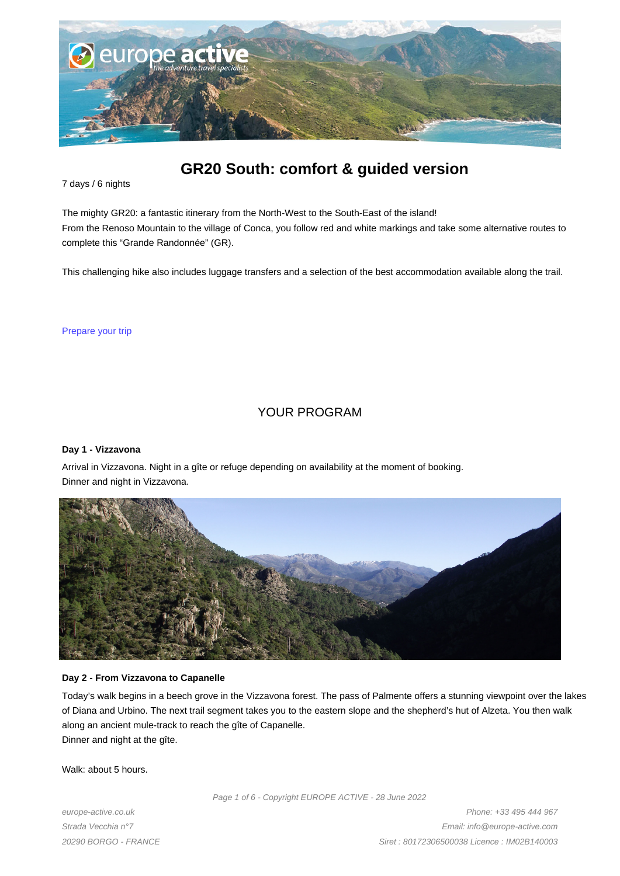

# **GR20 South: comfort & guided version**

7 days / 6 nights

The mighty GR20: a fantastic itinerary from the North-West to the South-East of the island! From the Renoso Mountain to the village of Conca, you follow red and white markings and take some alternative routes to complete this "Grande Randonnée" (GR).

This challenging hike also includes luggage transfers and a selection of the best accommodation available along the trail.

Prepare your trip

# YOUR PROGRAM

#### **Day 1 - Vizzavona**

Arrival in Vizzavona. Night in a gîte or refuge depending on availability at the moment of booking. Dinner and night in Vizzavona.



#### **Day 2 - From Vizzavona to Capanelle**

Today's walk begins in a beech grove in the Vizzavona forest. The pass of Palmente offers a stunning viewpoint over the lakes of Diana and Urbino. The next trail segment takes you to the eastern slope and the shepherd's hut of Alzeta. You then walk along an ancient mule-track to reach the gîte of Capanelle. Dinner and night at the gîte.

Walk: about 5 hours.

Page 1 of 6 - Copyright EUROPE ACTIVE - 28 June 2022

europe-active.co.uk Strada Vecchia n°7 20290 BORGO - FRANCE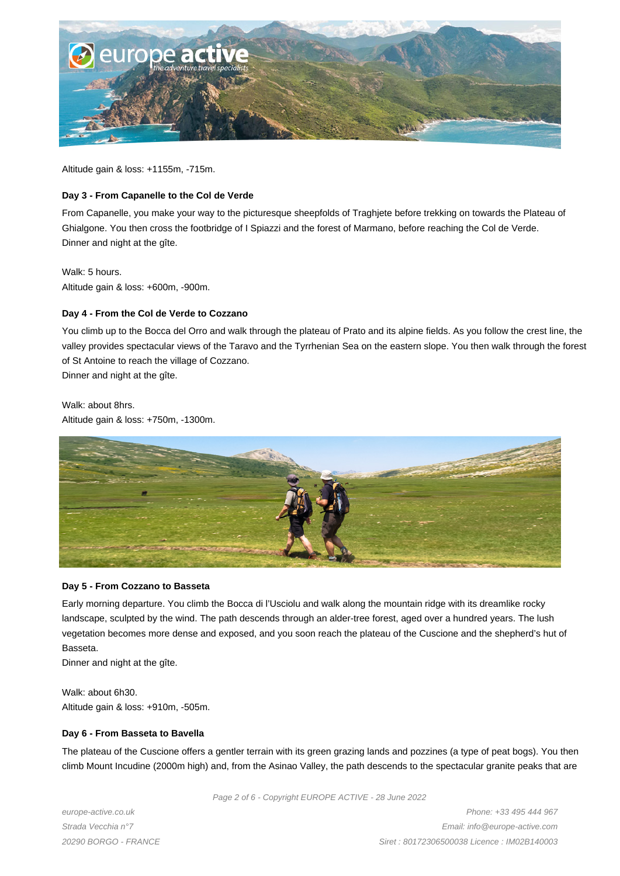

Altitude gain & loss: +1155m, -715m.

#### **Day 3 - From Capanelle to the Col de Verde**

From Capanelle, you make your way to the picturesque sheepfolds of Traghjete before trekking on towards the Plateau of Ghialgone. You then cross the footbridge of I Spiazzi and the forest of Marmano, before reaching the Col de Verde. Dinner and night at the gîte.

#### Walk: 5 hours.

Altitude gain & loss: +600m, -900m.

# **Day 4 - From the Col de Verde to Cozzano**

You climb up to the Bocca del Orro and walk through the plateau of Prato and its alpine fields. As you follow the crest line, the valley provides spectacular views of the Taravo and the Tyrrhenian Sea on the eastern slope. You then walk through the forest of St Antoine to reach the village of Cozzano.

Dinner and night at the gîte.

Walk: about 8hrs. Altitude gain & loss: +750m, -1300m.



#### **Day 5 - From Cozzano to Basseta**

Early morning departure. You climb the Bocca di l'Usciolu and walk along the mountain ridge with its dreamlike rocky landscape, sculpted by the wind. The path descends through an alder-tree forest, aged over a hundred years. The lush vegetation becomes more dense and exposed, and you soon reach the plateau of the Cuscione and the shepherd's hut of Basseta.

Dinner and night at the gîte.

Walk: about 6h30. Altitude gain & loss: +910m, -505m.

#### **Day 6 - From Basseta to Bavella**

The plateau of the Cuscione offers a gentler terrain with its green grazing lands and pozzines (a type of peat bogs). You then climb Mount Incudine (2000m high) and, from the Asinao Valley, the path descends to the spectacular granite peaks that are

Page 2 of 6 - Copyright EUROPE ACTIVE - 28 June 2022

europe-active.co.uk Strada Vecchia n°7 20290 BORGO - FRANCE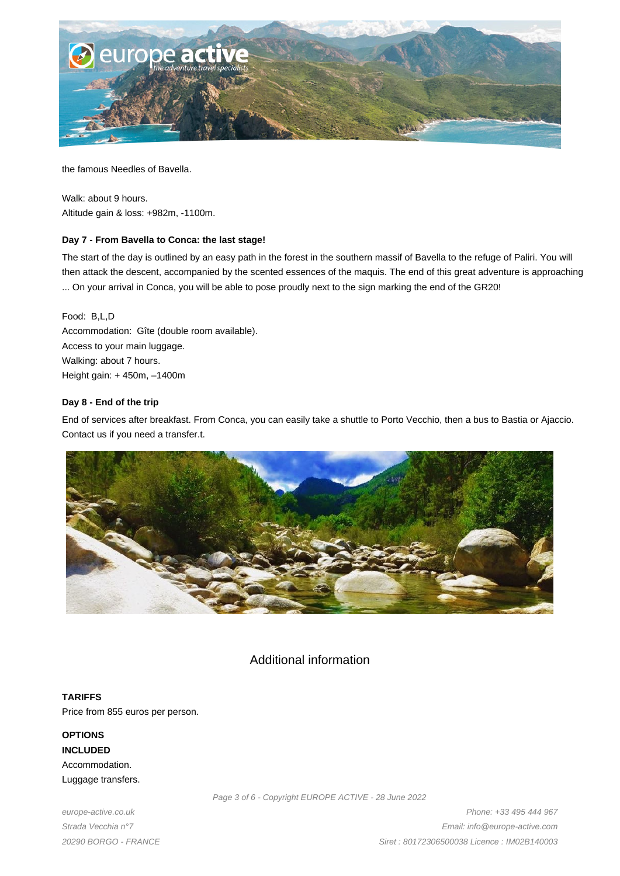

the famous Needles of Bavella.

Walk: about 9 hours. Altitude gain & loss: +982m, -1100m.

# **Day 7 - From Bavella to Conca: the last stage!**

The start of the day is outlined by an easy path in the forest in the southern massif of Bavella to the refuge of Paliri. You will then attack the descent, accompanied by the scented essences of the maquis. The end of this great adventure is approaching ... On your arrival in Conca, you will be able to pose proudly next to the sign marking the end of the GR20!

Food: B,L,D Accommodation: Gîte (double room available). Access to your main luggage. Walking: about 7 hours. Height gain: + 450m, –1400m

# **Day 8 - End of the trip**

End of services after breakfast. From Conca, you can easily take a shuttle to Porto Vecchio, then a bus to Bastia or Ajaccio. Contact us if you need a transfer.t.



# Additional information

**TARIFFS** Price from 855 euros per person.

**OPTIONS INCLUDED** Accommodation. Luggage transfers.

europe-active.co.uk Strada Vecchia n°7 20290 BORGO - FRANCE Page 3 of 6 - Copyright EUROPE ACTIVE - 28 June 2022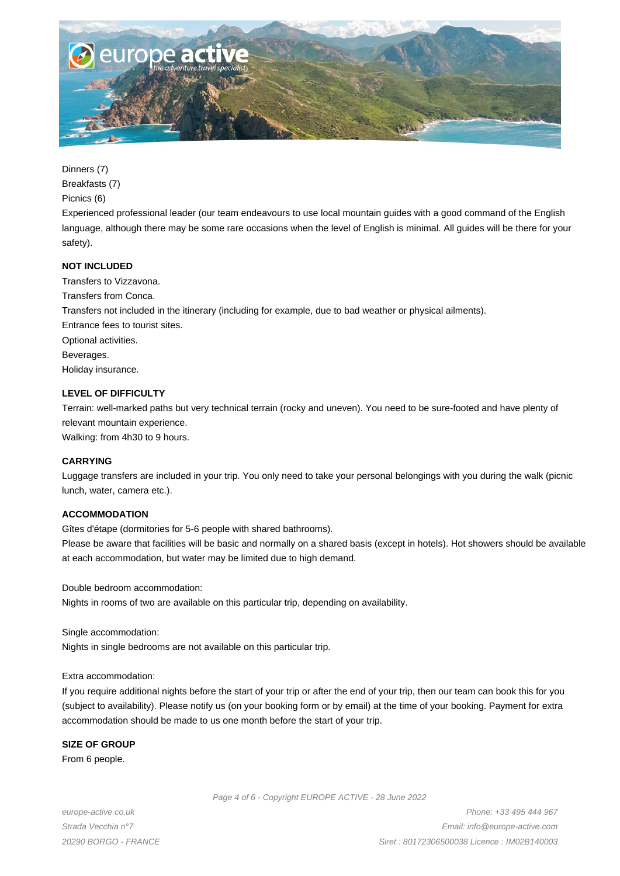

Dinners (7)

Breakfasts (7)

Picnics (6)

Experienced professional leader (our team endeavours to use local mountain guides with a good command of the English language, although there may be some rare occasions when the level of English is minimal. All guides will be there for your safety).

# **NOT INCLUDED**

Transfers to Vizzavona. Transfers from Conca. Transfers not included in the itinerary (including for example, due to bad weather or physical ailments). Entrance fees to tourist sites. Optional activities. Beverages. Holiday insurance.

# **LEVEL OF DIFFICULTY**

Terrain: well-marked paths but very technical terrain (rocky and uneven). You need to be sure-footed and have plenty of relevant mountain experience.

Walking: from 4h30 to 9 hours.

# **CARRYING**

Luggage transfers are included in your trip. You only need to take your personal belongings with you during the walk (picnic lunch, water, camera etc.).

# **ACCOMMODATION**

Gîtes d'étape (dormitories for 5-6 people with shared bathrooms).

Please be aware that facilities will be basic and normally on a shared basis (except in hotels). Hot showers should be available at each accommodation, but water may be limited due to high demand.

Double bedroom accommodation:

Nights in rooms of two are available on this particular trip, depending on availability.

Single accommodation:

Nights in single bedrooms are not available on this particular trip.

Extra accommodation:

If you require additional nights before the start of your trip or after the end of your trip, then our team can book this for you (subject to availability). Please notify us (on your booking form or by email) at the time of your booking. Payment for extra accommodation should be made to us one month before the start of your trip.

# **SIZE OF GROUP**

From 6 people.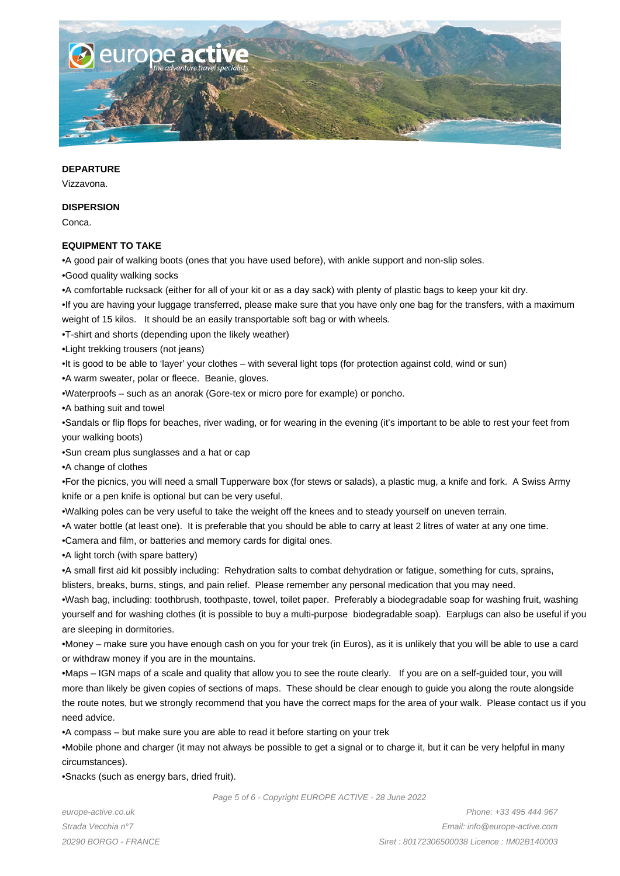

#### **DEPARTURE**

Vizzavona.

#### **DISPERSION**

Conca.

#### **EQUIPMENT TO TAKE**

- • A good pair of walking boots (ones that you have used before), with ankle support and non-slip soles.
- • Good quality walking socks
- • A comfortable rucksack (either for all of your kit or as a day sack) with plenty of plastic bags to keep your kit dry.
- If you are having your luggage transferred, please make sure that you have only one bag for the transfers, with a maximum weight of 15 kilos. It should be an easily transportable soft bag or with wheels.
- • T-shirt and shorts (depending upon the likely weather)
- • Light trekking trousers (not jeans)
- It is good to be able to 'layer' your clothes with several light tops (for protection against cold, wind or sun)
- A warm sweater, polar or fleece. Beanie, gloves.
- • Waterproofs such as an anorak (Gore-tex or micro pore for example) or poncho.
- A bathing suit and towel

• Sandals or flip flops for beaches, river wading, or for wearing in the evening (it's important to be able to rest your feet from your walking boots)

- Sun cream plus sunglasses and a hat or cap
- • A change of clothes

• For the picnics, you will need a small Tupperware box (for stews or salads), a plastic mug, a knife and fork. A Swiss Army knife or a pen knife is optional but can be very useful.

- • Walking poles can be very useful to take the weight off the knees and to steady yourself on uneven terrain.
- • A water bottle (at least one). It is preferable that you should be able to carry at least 2 litres of water at any one time.
- • Camera and film, or batteries and memory cards for digital ones.
- A light torch (with spare battery)

• A small first aid kit possibly including: Rehydration salts to combat dehydration or fatigue, something for cuts, sprains,

blisters, breaks, burns, stings, and pain relief. Please remember any personal medication that you may need.

• Wash bag, including: toothbrush, toothpaste, towel, toilet paper. Preferably a biodegradable soap for washing fruit, washing yourself and for washing clothes (it is possible to buy a multi-purpose biodegradable soap). Earplugs can also be useful if you are sleeping in dormitories.

• Money – make sure you have enough cash on you for your trek (in Euros), as it is unlikely that you will be able to use a card or withdraw money if you are in the mountains.

• Maps – IGN maps of a scale and quality that allow you to see the route clearly. If you are on a self-guided tour, you will more than likely be given copies of sections of maps. These should be clear enough to guide you along the route alongside the route notes, but we strongly recommend that you have the correct maps for the area of your walk. Please contact us if you need advice.

• A compass – but make sure you are able to read it before starting on your trek

• Mobile phone and charger (it may not always be possible to get a signal or to charge it, but it can be very helpful in many circumstances).

• Snacks (such as energy bars, dried fruit).

europe-active.co.uk Strada Vecchia n°7 20290 BORGO - FRANCE